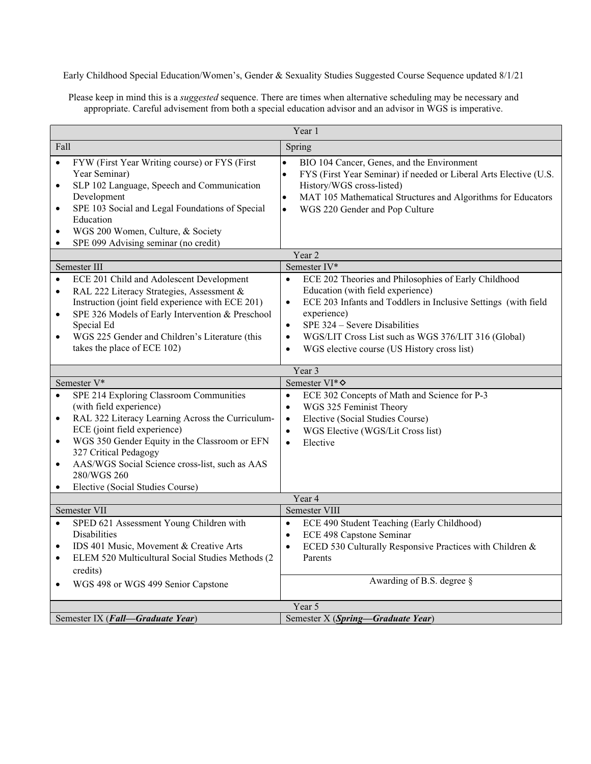Early Childhood Special Education/Women's, Gender & Sexuality Studies Suggested Course Sequence updated 8/1/21

Please keep in mind this is a *suggested* sequence. There are times when alternative scheduling may be necessary and appropriate. Careful advisement from both a special education advisor and an advisor in WGS is imperative.

| Year 1                                                        |                                                                                                                                                                                                                                                                                                                                       |                                                                                                                                                                                                                                                                                                                                                                                    |  |  |  |  |
|---------------------------------------------------------------|---------------------------------------------------------------------------------------------------------------------------------------------------------------------------------------------------------------------------------------------------------------------------------------------------------------------------------------|------------------------------------------------------------------------------------------------------------------------------------------------------------------------------------------------------------------------------------------------------------------------------------------------------------------------------------------------------------------------------------|--|--|--|--|
| Fall                                                          |                                                                                                                                                                                                                                                                                                                                       | Spring                                                                                                                                                                                                                                                                                                                                                                             |  |  |  |  |
| $\bullet$<br>$\bullet$<br>$\bullet$<br>$\bullet$<br>$\bullet$ | FYW (First Year Writing course) or FYS (First<br>Year Seminar)<br>SLP 102 Language, Speech and Communication<br>Development<br>SPE 103 Social and Legal Foundations of Special<br>Education<br>WGS 200 Women, Culture, & Society<br>SPE 099 Advising seminar (no credit)                                                              | BIO 104 Cancer, Genes, and the Environment<br>$\bullet$<br>$\bullet$<br>FYS (First Year Seminar) if needed or Liberal Arts Elective (U.S.<br>History/WGS cross-listed)<br>MAT 105 Mathematical Structures and Algorithms for Educators<br>$\bullet$<br>WGS 220 Gender and Pop Culture<br>$\bullet$                                                                                 |  |  |  |  |
|                                                               |                                                                                                                                                                                                                                                                                                                                       | Year 2                                                                                                                                                                                                                                                                                                                                                                             |  |  |  |  |
|                                                               | Semester III                                                                                                                                                                                                                                                                                                                          | Semester IV*                                                                                                                                                                                                                                                                                                                                                                       |  |  |  |  |
| $\bullet$<br>$\bullet$<br>$\bullet$<br>$\bullet$              | ECE 201 Child and Adolescent Development<br>RAL 222 Literacy Strategies, Assessment &<br>Instruction (joint field experience with ECE 201)<br>SPE 326 Models of Early Intervention & Preschool<br>Special Ed<br>WGS 225 Gender and Children's Literature (this<br>takes the place of ECE 102)                                         | $\bullet$<br>ECE 202 Theories and Philosophies of Early Childhood<br>Education (with field experience)<br>ECE 203 Infants and Toddlers in Inclusive Settings (with field<br>$\bullet$<br>experience)<br>SPE 324 - Severe Disabilities<br>$\bullet$<br>WGS/LIT Cross List such as WGS 376/LIT 316 (Global)<br>$\bullet$<br>WGS elective course (US History cross list)<br>$\bullet$ |  |  |  |  |
|                                                               | Year 3                                                                                                                                                                                                                                                                                                                                |                                                                                                                                                                                                                                                                                                                                                                                    |  |  |  |  |
|                                                               | Semester V*                                                                                                                                                                                                                                                                                                                           |                                                                                                                                                                                                                                                                                                                                                                                    |  |  |  |  |
|                                                               |                                                                                                                                                                                                                                                                                                                                       | Semester VI* $\diamond$                                                                                                                                                                                                                                                                                                                                                            |  |  |  |  |
| $\bullet$<br>$\bullet$<br>$\bullet$<br>$\bullet$<br>$\bullet$ | SPE 214 Exploring Classroom Communities<br>(with field experience)<br>RAL 322 Literacy Learning Across the Curriculum-<br>ECE (joint field experience)<br>WGS 350 Gender Equity in the Classroom or EFN<br>327 Critical Pedagogy<br>AAS/WGS Social Science cross-list, such as AAS<br>280/WGS 260<br>Elective (Social Studies Course) | ECE 302 Concepts of Math and Science for P-3<br>$\bullet$<br>WGS 325 Feminist Theory<br>$\bullet$<br>Elective (Social Studies Course)<br>$\bullet$<br>WGS Elective (WGS/Lit Cross list)<br>$\bullet$<br>Elective<br>$\bullet$                                                                                                                                                      |  |  |  |  |
|                                                               |                                                                                                                                                                                                                                                                                                                                       | Year 4                                                                                                                                                                                                                                                                                                                                                                             |  |  |  |  |
| $\bullet$<br>$\bullet$<br>$\bullet$                           | Semester VII<br>SPED 621 Assessment Young Children with<br><b>Disabilities</b><br>IDS 401 Music, Movement & Creative Arts<br>ELEM 520 Multicultural Social Studies Methods (2<br>credits)                                                                                                                                             | Semester VIII<br>$\bullet$<br>ECE 490 Student Teaching (Early Childhood)<br>ECE 498 Capstone Seminar<br>$\bullet$<br>ECED 530 Culturally Responsive Practices with Children &<br>$\bullet$<br>Parents                                                                                                                                                                              |  |  |  |  |
| $\bullet$                                                     | WGS 498 or WGS 499 Senior Capstone                                                                                                                                                                                                                                                                                                    | Awarding of B.S. degree §                                                                                                                                                                                                                                                                                                                                                          |  |  |  |  |
|                                                               | Semester IX (Fall-Graduate Year)                                                                                                                                                                                                                                                                                                      | Year 5<br>Semester X (Spring-Graduate Year)                                                                                                                                                                                                                                                                                                                                        |  |  |  |  |